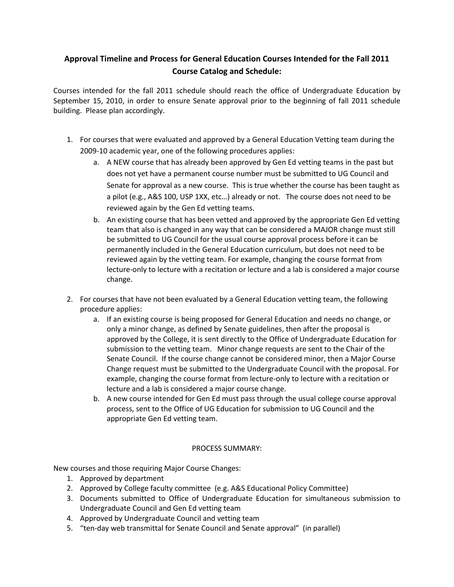## **Approval Timeline and Process for General Education Courses Intended for the Fall 2011 Course Catalog and Schedule:**

Courses intended for the fall 2011 schedule should reach the office of Undergraduate Education by September 15, 2010, in order to ensure Senate approval prior to the beginning of fall 2011 schedule building. Please plan accordingly.

- 1. For courses that were evaluated and approved by a General Education Vetting team during the 2009-10 academic year, one of the following procedures applies:
	- a. A NEW course that has already been approved by Gen Ed vetting teams in the past but does not yet have a permanent course number must be submitted to UG Council and Senate for approval as a new course. This is true whether the course has been taught as a pilot (e.g., A&S 100, USP 1XX, etc…) already or not. The course does not need to be reviewed again by the Gen Ed vetting teams.
	- b. An existing course that has been vetted and approved by the appropriate Gen Ed vetting team that also is changed in any way that can be considered a MAJOR change must still be submitted to UG Council for the usual course approval process before it can be permanently included in the General Education curriculum, but does not need to be reviewed again by the vetting team. For example, changing the course format from lecture-only to lecture with a recitation or lecture and a lab is considered a major course change.
- 2. For courses that have not been evaluated by a General Education vetting team, the following procedure applies:
	- a. If an existing course is being proposed for General Education and needs no change, or only a minor change, as defined by Senate guidelines, then after the proposal is approved by the College, it is sent directly to the Office of Undergraduate Education for submission to the vetting team. Minor change requests are sent to the Chair of the Senate Council. If the course change cannot be considered minor, then a Major Course Change request must be submitted to the Undergraduate Council with the proposal. For example, changing the course format from lecture-only to lecture with a recitation or lecture and a lab is considered a major course change.
	- b. A new course intended for Gen Ed must pass through the usual college course approval process, sent to the Office of UG Education for submission to UG Council and the appropriate Gen Ed vetting team.

## PROCESS SUMMARY:

New courses and those requiring Major Course Changes:

- 1. Approved by department
- 2. Approved by College faculty committee (e.g. A&S Educational Policy Committee)
- 3. Documents submitted to Office of Undergraduate Education for simultaneous submission to Undergraduate Council and Gen Ed vetting team
- 4. Approved by Undergraduate Council and vetting team
- 5. "ten-day web transmittal for Senate Council and Senate approval" (in parallel)